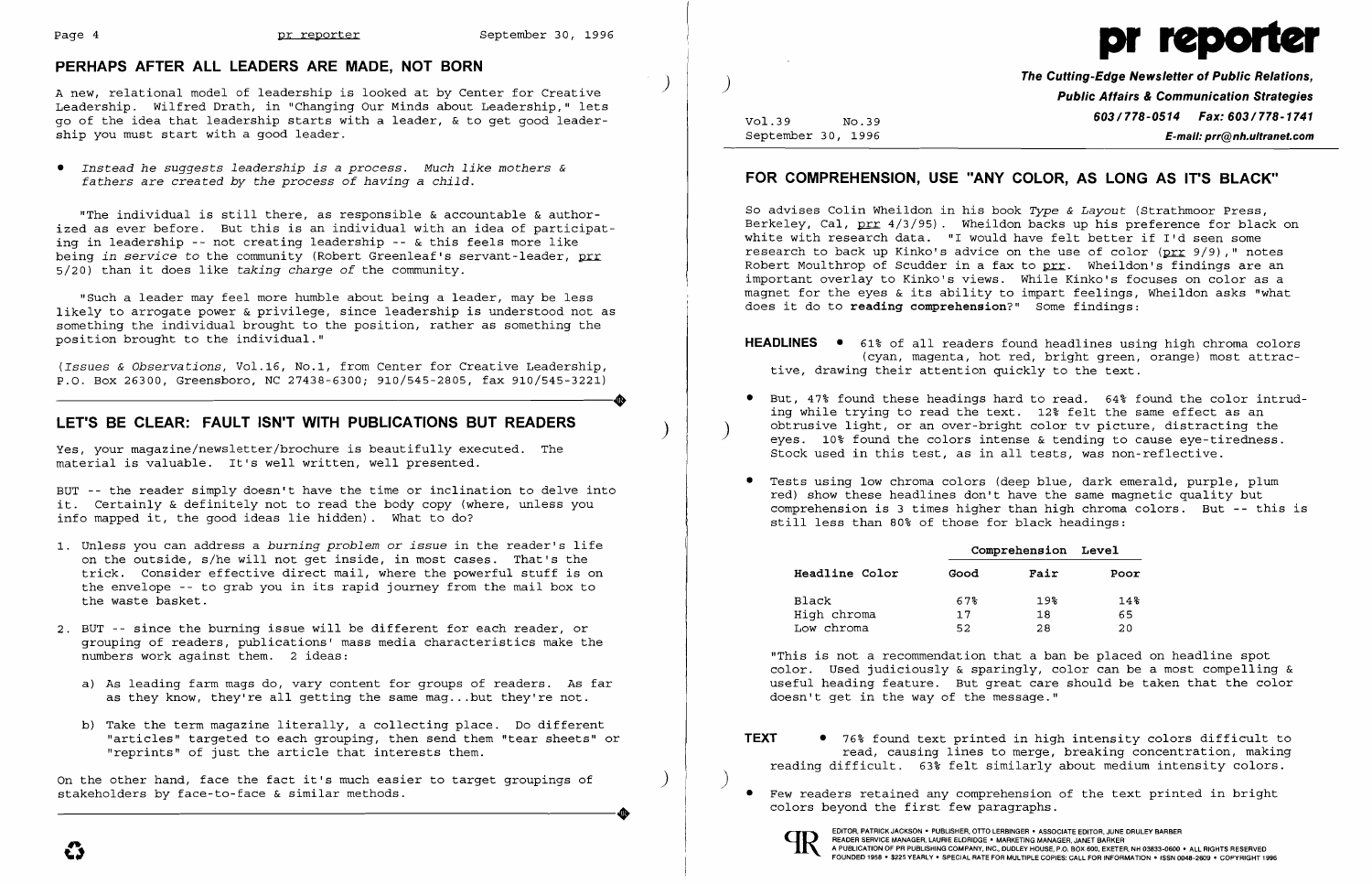) A new, relational model of leadership is looked at by Center for Creative Leadership. Wilfred Drath, in "Changing Our Minds about Leadership," lets go of the idea that leadership starts with a leader, & to get good leadership you must start with a good leader.

### **PERHAPS AFTER ALL LEADERS ARE MADE, NOT BORN**

*• Instead he suggests leadership is* a *process. Much like mothers & fathers are created by the process of having* a *child.* 

*(Issues & Observations, Vol.16, No.1, from Center for Creative Leadership,*  $P.0. Box 26300, Greensboro, NC 27438-6300; 910/545-2805, fax 910/545-3221)$ P.O. Box 26300, Greensboro, NC 27438-6300; 910/545-2805, fax 910/545-3221)

"The individual is still there, as responsible & accountable & authorized as ever before. But this is an individual with an idea of participating in leadership -- not creating leadership -- & this feels more like being *in service* to the community (Robert Greenleaf's servant-leader, prr 5/20) than it does like *taking charge of* the community.

Yes, your magazine/newsletter/brochure is beautifully executed. The material is valuable. It's well written, well presented.

"Such a leader may feel more humble about being a leader, may be less likely to arrogate power & privilege, since leadership is understood not as something the individual brought to the position, rather as something the position brought to the individual."

# **LET'S BE CLEAR: FAULT ISN'T WITH PUBLICATIONS BUT READERS** )

On the other hand, face the fact it's much easier to target groupings of )<br>stakeholders by face-to-face & similar methods. stakeholders by face-to-face & similar methods.

BUT -- the reader simply doesn't have the time or inclination to delve into it. Certainly & definitely not to read the body copy (where, unless you info mapped it, the good ideas lie hidden). What to do?

• But, 47% found these headings hard to read. 64% found the color intruding while trying to read the text. 12% felt the same effect as an obtrusive light, or an over-bright color ty picture, distracting the eyes. 10% found the colors intense  $\&$  tending to cause eye-tiredness.

- 1. Unless you can address a *burning problem* or *issue* in the reader's life on the outside, s/he will not get inside, in most cases. That's the trick. Consider effective direct mail, where the powerful stuff is on the envelope -- to grab you in its rapid journey from the mail box to the waste basket.
- 2. BUT -- since the burning issue will be different for each reader, or grouping of readers, publications' mass media characteristics make the numbers work against them. 2 ideas:
	- a) As leading farm mags do, vary content for groups of readers. As far as they know, they're all getting the same mag ... but they're not.
	- b) Take the term magazine literally, a collecting place. Do different "articles" targeted to each grouping, then send them "tear sheets" or "reprints" of just the article that interests them.



**The Cutting-Edge Newsletter of Public Relations,** ) **Public Affairs & Communication Strategies**  Vol.39 **603/778-0514 Fax: 603/778-1741**<br>September 30, 1996 **603/778-0514 Fax: 603/778-1741** September 30, 1996 **E-mail: prr@nh.ultranet.com** 

# **FOR COMPREHENSION, USE "ANY COLOR, AS LONG AS IT'S BLACK"**

So advises Colin Wheildon in his book *Type* & *Layout* (Strathmoor Press, Berkeley, Cal,  $prr 4/3/95$ ). Wheildon backs up his preference for black on</u> white with research data. "I would have felt better if I'd seen some research to back up Kinko's advice on the use of color ( $\text{prr}$  9/9)," notes Robert Moulthrop of Scudder in a fax to prr. Wheildon's findings are an important overlay to Kinko's views. While Kinko's focuses on color as a magnet for the eyes & its ability to impart feelings, Wheildon asks "what does it do to **reading comprehension?"** Some findings:

**HEADLINES •** 61% of all readers found headlines using high chroma colors (cyan, magenta, hot red, bright green, orange) most attrac-

- tive, drawing their attention quickly to the text.
- Stock used in this test, as in all tests, was non-reflective.
- Tests using low chroma colors (deep blue, dark emerald, purple, plum still less than 80% of those for black headings:

red) show these headlines don't have the same magnetic quality but comprehension is 3 times higher than high chroma colors. But **--** this is

### **Comprehension Level**

| Fair | Poor |
|------|------|
| 19%  | 14%  |
| 18   | 65   |
| 28   | 20   |

| <b>Headline Color</b> | Good | Fair | Poor |
|-----------------------|------|------|------|
| Black                 | 67%  | 19%  | 14%  |
| High chroma           | 17   | 18   | 65   |
| Low chroma            | 52   | 28   | 20   |

"This is not a recommendation that a ban be placed on headline spot color. Used judiciously & sparingly, color can be a most compelling & useful heading feature. But great care should be taken that the color doesn't get in the way of the message."

**TEXT •** 76% found text printed in high intensity colors difficult to read, causing lines to merge, breaking concentration, making reading difficult. 63% felt similarly about medium intensity colors.

- 
- • Few readers retained any comprehension of the text printed in bright colors beyond the first few paragraphs.



 $\big)$